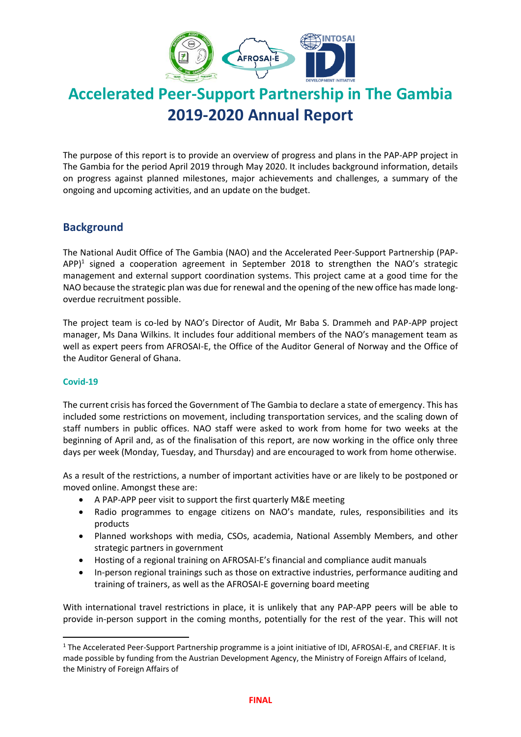

# **Accelerated Peer-Support Partnership in The Gambia 2019-2020 Annual Report**

The purpose of this report is to provide an overview of progress and plans in the PAP-APP project in The Gambia for the period April 2019 through May 2020. It includes background information, details on progress against planned milestones, major achievements and challenges, a summary of the ongoing and upcoming activities, and an update on the budget.

## **Background**

The National Audit Office of The Gambia (NAO) and the Accelerated Peer-Support Partnership (PAP-APP $)^1$  signed a cooperation agreement in September 2018 to strengthen the NAO's strategic management and external support coordination systems. This project came at a good time for the NAO because the strategic plan was due for renewal and the opening of the new office has made longoverdue recruitment possible.

The project team is co-led by NAO's Director of Audit, Mr Baba S. Drammeh and PAP-APP project manager, Ms Dana Wilkins. It includes four additional members of the NAO's management team as well as expert peers from AFROSAI-E, the Office of the Auditor General of Norway and the Office of the Auditor General of Ghana.

#### **Covid-19**

The current crisis has forced the Government of The Gambia to declare a state of emergency. This has included some restrictions on movement, including transportation services, and the scaling down of staff numbers in public offices. NAO staff were asked to work from home for two weeks at the beginning of April and, as of the finalisation of this report, are now working in the office only three days per week (Monday, Tuesday, and Thursday) and are encouraged to work from home otherwise.

As a result of the restrictions, a number of important activities have or are likely to be postponed or moved online. Amongst these are:

- A PAP-APP peer visit to support the first quarterly M&E meeting
- Radio programmes to engage citizens on NAO's mandate, rules, responsibilities and its products
- Planned workshops with media, CSOs, academia, National Assembly Members, and other strategic partners in government
- Hosting of a regional training on AFROSAI-E's financial and compliance audit manuals
- In-person regional trainings such as those on extractive industries, performance auditing and training of trainers, as well as the AFROSAI-E governing board meeting

With international travel restrictions in place, it is unlikely that any PAP-APP peers will be able to provide in-person support in the coming months, potentially for the rest of the year. This will not

<sup>&</sup>lt;sup>1</sup> The Accelerated Peer-Support Partnership programme is a joint initiative of IDI, AFROSAI-E, and CREFIAF. It is made possible by funding from the Austrian Development Agency, the Ministry of Foreign Affairs of Iceland, the Ministry of Foreign Affairs of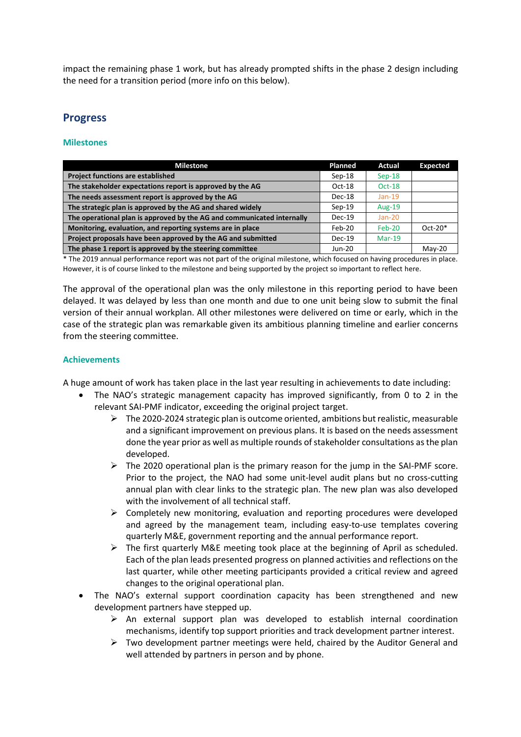impact the remaining phase 1 work, but has already prompted shifts in the phase 2 design including the need for a transition period (more info on this below).

## **Progress**

#### **Milestones**

| <b>Milestone</b>                                                       | Planned  | Actual        | <b>Expected</b> |
|------------------------------------------------------------------------|----------|---------------|-----------------|
| <b>Project functions are established</b>                               | $Sep-18$ | $Sep-18$      |                 |
| The stakeholder expectations report is approved by the AG              | $Oct-18$ | $Oct-18$      |                 |
| The needs assessment report is approved by the AG                      | $Dec-18$ | $Jan-19$      |                 |
| The strategic plan is approved by the AG and shared widely             | $Sep-19$ | <b>Aug-19</b> |                 |
| The operational plan is approved by the AG and communicated internally | $Dec-19$ | $Jan-20$      |                 |
| Monitoring, evaluation, and reporting systems are in place             | Feb-20   | Feb-20        | $Oct-20*$       |
| Project proposals have been approved by the AG and submitted           | $Dec-19$ | $Mar-19$      |                 |
| The phase 1 report is approved by the steering committee               | Jun-20   |               | $Mav-20$        |

\* The 2019 annual performance report was not part of the original milestone, which focused on having procedures in place. However, it is of course linked to the milestone and being supported by the project so important to reflect here.

The approval of the operational plan was the only milestone in this reporting period to have been delayed. It was delayed by less than one month and due to one unit being slow to submit the final version of their annual workplan. All other milestones were delivered on time or early, which in the case of the strategic plan was remarkable given its ambitious planning timeline and earlier concerns from the steering committee.

#### **Achievements**

A huge amount of work has taken place in the last year resulting in achievements to date including:

- The NAO's strategic management capacity has improved significantly, from 0 to 2 in the relevant SAI-PMF indicator, exceeding the original project target.
	- $\triangleright$  The 2020-2024 strategic plan is outcome oriented, ambitions but realistic, measurable and a significant improvement on previous plans. It is based on the needs assessment done the year prior as well as multiple rounds of stakeholder consultations as the plan developed.
	- $\triangleright$  The 2020 operational plan is the primary reason for the jump in the SAI-PMF score. Prior to the project, the NAO had some unit-level audit plans but no cross-cutting annual plan with clear links to the strategic plan. The new plan was also developed with the involvement of all technical staff.
	- $\triangleright$  Completely new monitoring, evaluation and reporting procedures were developed and agreed by the management team, including easy-to-use templates covering quarterly M&E, government reporting and the annual performance report.
	- $\triangleright$  The first quarterly M&E meeting took place at the beginning of April as scheduled. Each of the plan leads presented progress on planned activities and reflections on the last quarter, while other meeting participants provided a critical review and agreed changes to the original operational plan.
- The NAO's external support coordination capacity has been strengthened and new development partners have stepped up.
	- $\triangleright$  An external support plan was developed to establish internal coordination mechanisms, identify top support priorities and track development partner interest.
	- $\triangleright$  Two development partner meetings were held, chaired by the Auditor General and well attended by partners in person and by phone.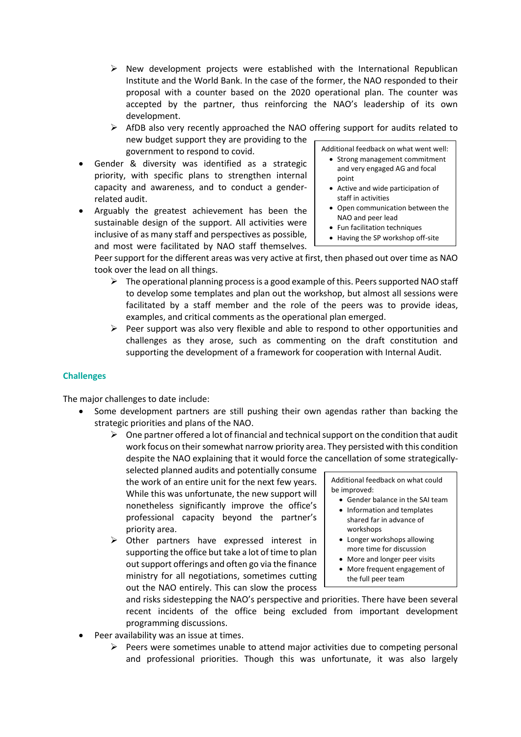- $\triangleright$  New development projects were established with the International Republican Institute and the World Bank. In the case of the former, the NAO responded to their proposal with a counter based on the 2020 operational plan. The counter was accepted by the partner, thus reinforcing the NAO's leadership of its own development.
- $\triangleright$  AfDB also very recently approached the NAO offering support for audits related to new budget support they are providing to the government to respond to covid. Additional feedback on what went well:
- Gender & diversity was identified as a strategic priority, with specific plans to strengthen internal capacity and awareness, and to conduct a genderrelated audit.
- Arguably the greatest achievement has been the sustainable design of the support. All activities were inclusive of as many staff and perspectives as possible, and most were facilitated by NAO staff themselves.

- Strong management commitment and very engaged AG and focal point
- Active and wide participation of staff in activities
- Open communication between the NAO and peer lead
- Fun facilitation techniques
- Having the SP workshop off-site

Peer support for the different areas was very active at first, then phased out over time as NAO took over the lead on all things.

- $\triangleright$  The operational planning process is a good example of this. Peers supported NAO staff to develop some templates and plan out the workshop, but almost all sessions were facilitated by a staff member and the role of the peers was to provide ideas, examples, and critical comments as the operational plan emerged.
- $\triangleright$  Peer support was also very flexible and able to respond to other opportunities and challenges as they arose, such as commenting on the draft constitution and supporting the development of a framework for cooperation with Internal Audit.

#### **Challenges**

The major challenges to date include:

- Some development partners are still pushing their own agendas rather than backing the strategic priorities and plans of the NAO.
	- $\triangleright$  One partner offered a lot of financial and technical support on the condition that audit work focus on their somewhat narrow priority area. They persisted with this condition despite the NAO explaining that it would force the cancellation of some strategically-

selected planned audits and potentially consume the work of an entire unit for the next few years. While this was unfortunate, the new support will nonetheless significantly improve the office's professional capacity beyond the partner's priority area.

➢ Other partners have expressed interest in supporting the office but take a lot of time to plan out support offerings and often go via the finance ministry for all negotiations, sometimes cutting out the NAO entirely. This can slow the process

Additional feedback on what could be improved:

- Gender balance in the SAI team
- Information and templates shared far in advance of workshops
- Longer workshops allowing more time for discussion
- More and longer peer visits
- More frequent engagement of the full peer team

and risks sidestepping the NAO's perspective and priorities. There have been several recent incidents of the office being excluded from important development programming discussions.

- Peer availability was an issue at times.
	- $\triangleright$  Peers were sometimes unable to attend major activities due to competing personal and professional priorities. Though this was unfortunate, it was also largely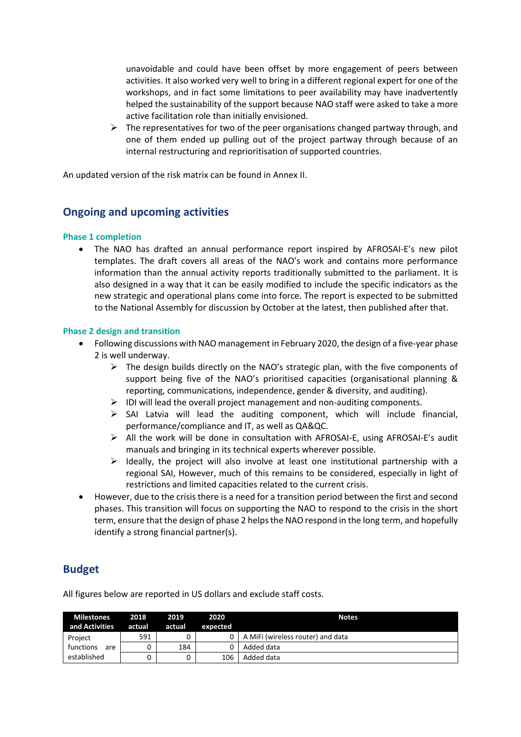unavoidable and could have been offset by more engagement of peers between activities. It also worked very well to bring in a different regional expert for one of the workshops, and in fact some limitations to peer availability may have inadvertently helped the sustainability of the support because NAO staff were asked to take a more active facilitation role than initially envisioned.

 $\triangleright$  The representatives for two of the peer organisations changed partway through, and one of them ended up pulling out of the project partway through because of an internal restructuring and reprioritisation of supported countries.

An updated version of the risk matrix can be found in Annex II.

## **Ongoing and upcoming activities**

#### **Phase 1 completion**

• The NAO has drafted an annual performance report inspired by AFROSAI-E's new pilot templates. The draft covers all areas of the NAO's work and contains more performance information than the annual activity reports traditionally submitted to the parliament. It is also designed in a way that it can be easily modified to include the specific indicators as the new strategic and operational plans come into force. The report is expected to be submitted to the National Assembly for discussion by October at the latest, then published after that.

#### **Phase 2 design and transition**

- Following discussions with NAO management in February 2020, the design of a five-year phase 2 is well underway.
	- $\triangleright$  The design builds directly on the NAO's strategic plan, with the five components of support being five of the NAO's prioritised capacities (organisational planning & reporting, communications, independence, gender & diversity, and auditing).
	- $\triangleright$  IDI will lead the overall project management and non-auditing components.
	- $\triangleright$  SAI Latvia will lead the auditing component, which will include financial, performance/compliance and IT, as well as QA&QC.
	- $\triangleright$  All the work will be done in consultation with AFROSAI-E, using AFROSAI-E's audit manuals and bringing in its technical experts wherever possible.
	- $\triangleright$  Ideally, the project will also involve at least one institutional partnership with a regional SAI, However, much of this remains to be considered, especially in light of restrictions and limited capacities related to the current crisis.
- However, due to the crisis there is a need for a transition period between the first and second phases. This transition will focus on supporting the NAO to respond to the crisis in the short term, ensure that the design of phase 2 helps the NAO respond in the long term, and hopefully identify a strong financial partner(s).

## **Budget**

All figures below are reported in US dollars and exclude staff costs.

| <b>Milestones</b><br>and Activities | 2018<br>actual | 2019<br>actual | 2020<br>expected | <b>Notes</b>                      |
|-------------------------------------|----------------|----------------|------------------|-----------------------------------|
| Project                             | 591            |                |                  | A MiFi (wireless router) and data |
| functions<br>are                    |                | 184            |                  | Added data                        |
| established                         |                | 0              | 106              | Added data                        |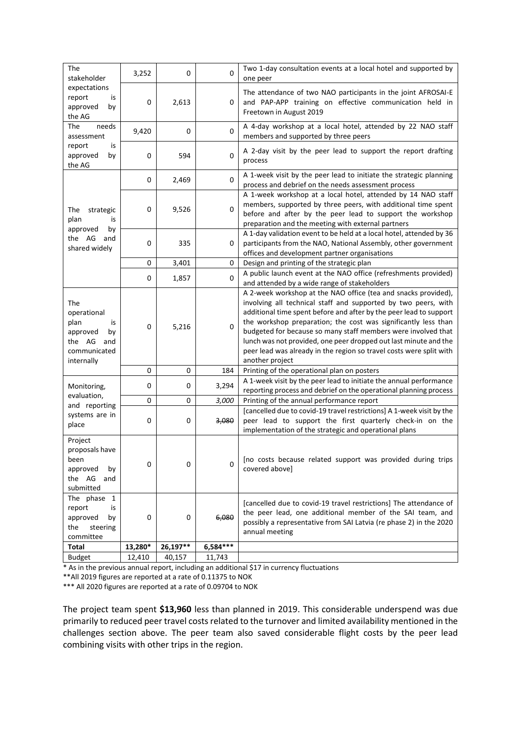| The<br>stakeholder                                                                             | 3,252   | 0                                         | 0        | Two 1-day consultation events at a local hotel and supported by<br>one peer                                                                                                                                                                                                                                                                                                                                                                                                                             |  |  |
|------------------------------------------------------------------------------------------------|---------|-------------------------------------------|----------|---------------------------------------------------------------------------------------------------------------------------------------------------------------------------------------------------------------------------------------------------------------------------------------------------------------------------------------------------------------------------------------------------------------------------------------------------------------------------------------------------------|--|--|
| expectations<br>report<br>is<br>by<br>approved<br>the AG                                       | 0       | 2,613                                     | 0        | The attendance of two NAO participants in the joint AFROSAI-E<br>and PAP-APP training on effective communication held in<br>Freetown in August 2019                                                                                                                                                                                                                                                                                                                                                     |  |  |
| needs<br>The<br>assessment                                                                     | 9,420   | 0                                         | 0        | A 4-day workshop at a local hotel, attended by 22 NAO staff<br>members and supported by three peers                                                                                                                                                                                                                                                                                                                                                                                                     |  |  |
| report<br>is<br>approved<br>by<br>the AG                                                       | 0       | 594                                       | 0        | A 2-day visit by the peer lead to support the report drafting<br>process                                                                                                                                                                                                                                                                                                                                                                                                                                |  |  |
|                                                                                                | 0       | 2,469                                     | 0        | A 1-week visit by the peer lead to initiate the strategic planning<br>process and debrief on the needs assessment process                                                                                                                                                                                                                                                                                                                                                                               |  |  |
| The<br>strategic<br>plan<br>is                                                                 | 0       | 9,526                                     | 0        | A 1-week workshop at a local hotel, attended by 14 NAO staff<br>members, supported by three peers, with additional time spent<br>before and after by the peer lead to support the workshop<br>preparation and the meeting with external partners                                                                                                                                                                                                                                                        |  |  |
| approved<br>by<br>the AG and<br>shared widely                                                  | 0       | 335                                       | 0        | A 1-day validation event to be held at a local hotel, attended by 36<br>participants from the NAO, National Assembly, other government<br>offices and development partner organisations                                                                                                                                                                                                                                                                                                                 |  |  |
|                                                                                                | 0       | Design and printing of the strategic plan |          |                                                                                                                                                                                                                                                                                                                                                                                                                                                                                                         |  |  |
|                                                                                                | 0       | 3,401<br>1,857                            | 0        | A public launch event at the NAO office (refreshments provided)<br>and attended by a wide range of stakeholders                                                                                                                                                                                                                                                                                                                                                                                         |  |  |
| The<br>operational<br>plan<br>is<br>approved<br>by<br>the AG and<br>communicated<br>internally | 0       | 5,216                                     | 0        | A 2-week workshop at the NAO office (tea and snacks provided),<br>involving all technical staff and supported by two peers, with<br>additional time spent before and after by the peer lead to support<br>the workshop preparation; the cost was significantly less than<br>budgeted for because so many staff members were involved that<br>lunch was not provided, one peer dropped out last minute and the<br>peer lead was already in the region so travel costs were split with<br>another project |  |  |
|                                                                                                | 0       | 0                                         | 184      | Printing of the operational plan on posters                                                                                                                                                                                                                                                                                                                                                                                                                                                             |  |  |
| Monitoring,<br>evaluation,                                                                     | 0       | 0                                         | 3,294    | A 1-week visit by the peer lead to initiate the annual performance<br>reporting process and debrief on the operational planning process                                                                                                                                                                                                                                                                                                                                                                 |  |  |
|                                                                                                | 0       | 0                                         | 3,000    | Printing of the annual performance report                                                                                                                                                                                                                                                                                                                                                                                                                                                               |  |  |
| and reporting<br>systems are in<br>place                                                       | 0       | 0                                         | 3,080    | [cancelled due to covid-19 travel restrictions] A 1-week visit by the<br>peer lead to support the first quarterly check-in on the<br>implementation of the strategic and operational plans                                                                                                                                                                                                                                                                                                              |  |  |
| Project<br>proposals have<br>been<br>approved<br>by<br>the AG<br>and<br>submitted              | 0       | 0                                         | 0        | [no costs because related support was provided during trips<br>covered above]                                                                                                                                                                                                                                                                                                                                                                                                                           |  |  |
| The phase 1<br>report<br>is<br>approved<br>by<br>the<br>steering<br>committee                  | 0       | 0                                         | 6,080    | [cancelled due to covid-19 travel restrictions] The attendance of<br>the peer lead, one additional member of the SAI team, and<br>possibly a representative from SAI Latvia (re phase 2) in the 2020<br>annual meeting                                                                                                                                                                                                                                                                                  |  |  |
| Total                                                                                          | 13,280* | 26,197**                                  | 6,584*** |                                                                                                                                                                                                                                                                                                                                                                                                                                                                                                         |  |  |
| <b>Budget</b>                                                                                  | 12,410  | 40,157                                    | 11,743   |                                                                                                                                                                                                                                                                                                                                                                                                                                                                                                         |  |  |

\* As in the previous annual report, including an additional \$17 in currency fluctuations

\*\*All 2019 figures are reported at a rate of 0.11375 to NOK

\*\*\* All 2020 figures are reported at a rate of 0.09704 to NOK

The project team spent **\$13,960** less than planned in 2019. This considerable underspend was due primarily to reduced peer travel costs related to the turnover and limited availability mentioned in the challenges section above. The peer team also saved considerable flight costs by the peer lead combining visits with other trips in the region.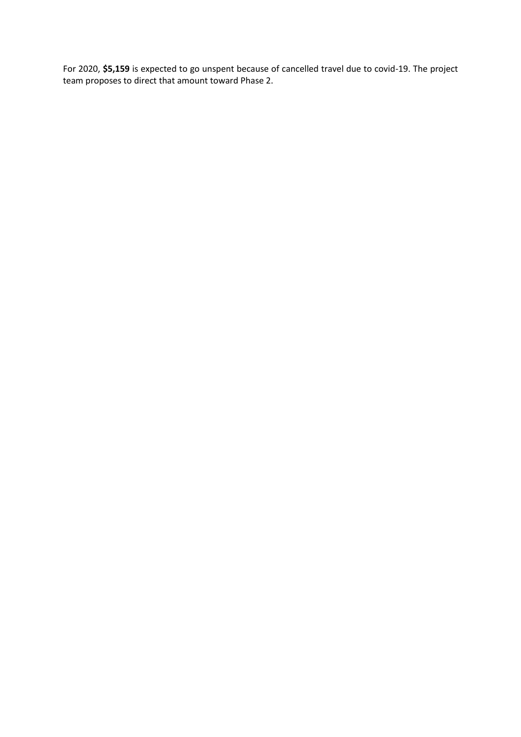For 2020, **\$5,159** is expected to go unspent because of cancelled travel due to covid-19. The project team proposes to direct that amount toward Phase 2.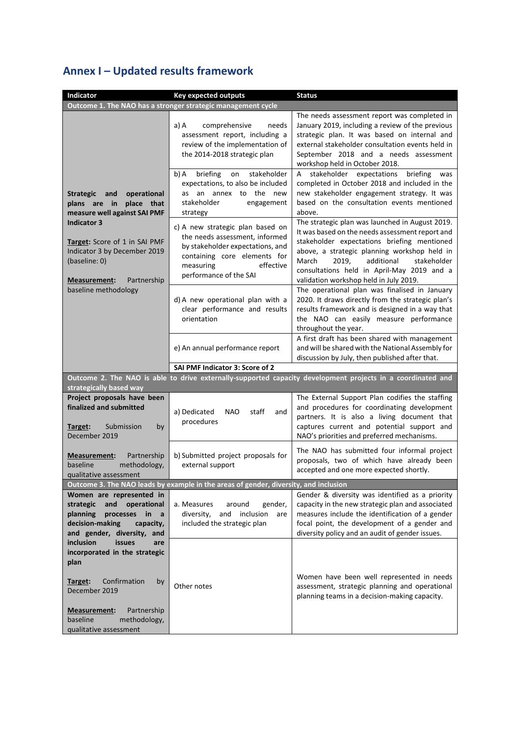## **Annex I – Updated results framework**

| Indicator                                                                                                                                                                                                                                             | <b>Key expected outputs</b>                                                                                                                                                                | <b>Status</b>                                                                                                                                                                                                                                                                                                                            |  |  |  |  |  |  |
|-------------------------------------------------------------------------------------------------------------------------------------------------------------------------------------------------------------------------------------------------------|--------------------------------------------------------------------------------------------------------------------------------------------------------------------------------------------|------------------------------------------------------------------------------------------------------------------------------------------------------------------------------------------------------------------------------------------------------------------------------------------------------------------------------------------|--|--|--|--|--|--|
| Outcome 1. The NAO has a stronger strategic management cycle                                                                                                                                                                                          |                                                                                                                                                                                            |                                                                                                                                                                                                                                                                                                                                          |  |  |  |  |  |  |
|                                                                                                                                                                                                                                                       | comprehensive<br>a) A<br>needs<br>assessment report, including a<br>review of the implementation of<br>the 2014-2018 strategic plan                                                        | The needs assessment report was completed in<br>January 2019, including a review of the previous<br>strategic plan. It was based on internal and<br>external stakeholder consultation events held in<br>September 2018 and a needs assessment<br>workshop held in October 2018.                                                          |  |  |  |  |  |  |
| operational<br><b>Strategic</b><br>and<br>plans are in<br>place<br>that<br>measure well against SAI PMF<br><b>Indicator 3</b><br>Target: Score of 1 in SAI PMF<br>Indicator 3 by December 2019<br>(baseline: 0)<br>Partnership<br><b>Measurement:</b> | briefing<br>stakeholder<br>b) A<br>on<br>expectations, to also be included<br>as an annex to the new<br>stakeholder<br>engagement<br>strategy                                              | stakeholder expectations<br>briefing<br>A<br>was<br>completed in October 2018 and included in the<br>new stakeholder engagement strategy. It was<br>based on the consultation events mentioned<br>above.                                                                                                                                 |  |  |  |  |  |  |
|                                                                                                                                                                                                                                                       | c) A new strategic plan based on<br>the needs assessment, informed<br>by stakeholder expectations, and<br>containing core elements for<br>effective<br>measuring<br>performance of the SAI | The strategic plan was launched in August 2019.<br>It was based on the needs assessment report and<br>stakeholder expectations briefing mentioned<br>above, a strategic planning workshop held in<br>additional<br>March<br>2019,<br>stakeholder<br>consultations held in April-May 2019 and a<br>validation workshop held in July 2019. |  |  |  |  |  |  |
| baseline methodology                                                                                                                                                                                                                                  | d) A new operational plan with a<br>clear performance and results<br>orientation                                                                                                           | The operational plan was finalised in January<br>2020. It draws directly from the strategic plan's<br>results framework and is designed in a way that<br>the NAO can easily measure performance<br>throughout the year.                                                                                                                  |  |  |  |  |  |  |
|                                                                                                                                                                                                                                                       | e) An annual performance report                                                                                                                                                            | A first draft has been shared with management<br>and will be shared with the National Assembly for<br>discussion by July, then published after that.                                                                                                                                                                                     |  |  |  |  |  |  |
|                                                                                                                                                                                                                                                       | SAI PMF Indicator 3: Score of 2                                                                                                                                                            |                                                                                                                                                                                                                                                                                                                                          |  |  |  |  |  |  |
| strategically based way                                                                                                                                                                                                                               |                                                                                                                                                                                            | Outcome 2. The NAO is able to drive externally-supported capacity development projects in a coordinated and                                                                                                                                                                                                                              |  |  |  |  |  |  |
| Project proposals have been<br>finalized and submitted<br>Submission<br>by<br>Target:<br>December 2019                                                                                                                                                | a) Dedicated<br><b>NAO</b><br>staff<br>and<br>procedures                                                                                                                                   | The External Support Plan codifies the staffing<br>and procedures for coordinating development<br>partners. It is also a living document that<br>captures current and potential support and<br>NAO's priorities and preferred mechanisms.                                                                                                |  |  |  |  |  |  |
| Partnership<br><u>Measurement:</u><br>baseline<br>methodology,<br>qualitative assessment                                                                                                                                                              | b) Submitted project proposals for<br>external support                                                                                                                                     | The NAO has submitted four informal project<br>proposals, two of which have already been<br>accepted and one more expected shortly.                                                                                                                                                                                                      |  |  |  |  |  |  |
|                                                                                                                                                                                                                                                       | Outcome 3. The NAO leads by example in the areas of gender, diversity, and inclusion                                                                                                       |                                                                                                                                                                                                                                                                                                                                          |  |  |  |  |  |  |
| Women are represented in<br>and<br>operational<br>strategic<br>planning<br>processes<br>in<br>a<br>decision-making<br>capacity,<br>and gender, diversity, and                                                                                         | a. Measures<br>around<br>gender,<br>diversity,<br>and<br>inclusion<br>are<br>included the strategic plan                                                                                   | Gender & diversity was identified as a priority<br>capacity in the new strategic plan and associated<br>measures include the identification of a gender<br>focal point, the development of a gender and<br>diversity policy and an audit of gender issues.                                                                               |  |  |  |  |  |  |
| inclusion<br><b>issues</b><br>are<br>incorporated in the strategic<br>plan<br>Confirmation<br>by<br>Target:<br>December 2019<br>Partnership<br>Measurement:                                                                                           | Other notes                                                                                                                                                                                | Women have been well represented in needs<br>assessment, strategic planning and operational<br>planning teams in a decision-making capacity.                                                                                                                                                                                             |  |  |  |  |  |  |